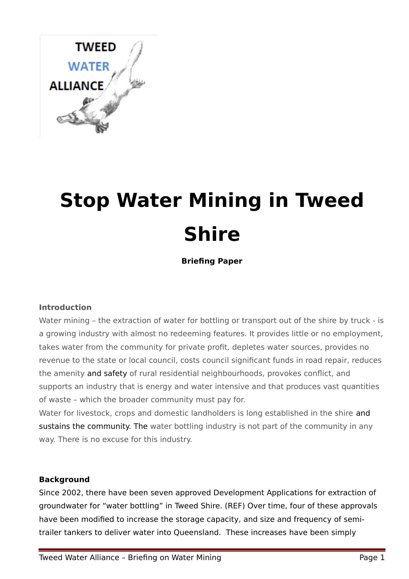

# **Stop Water Mining in Tweed Shire**

**Briefing Paper**

## **Introduction**

Water mining - the extraction of water for bottling or transport out of the shire by truck - is a growing industry with almost no redeeming features. It provides little or no employment, takes water from the community for private profit, depletes water sources, provides no revenue to the state or local council, costs council significant funds in road repair, reduces the amenity and safety of rural residential neighbourhoods, provokes conflict, and supports an industry that is energy and water intensive and that produces vast quantities of waste – which the broader community must pay for.

Water for livestock, crops and domestic landholders is long established in the shire and sustains the community. The water bottling industry is not part of the community in any way. There is no excuse for this industry.

#### **Background**

Since 2002, there have been seven approved Development Applications for extraction of groundwater for "water bottling" in Tweed Shire. (REF) Over time, four of these approvals have been modified to increase the storage capacity, and size and frequency of semitrailer tankers to deliver water into Queensland. These increases have been simply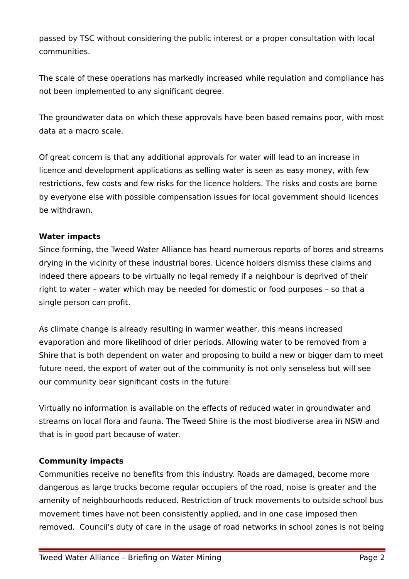passed by TSC without considering the public interest or a proper consultation with local communities.

The scale of these operations has markedly increased while regulation and compliance has not been implemented to any significant degree.

The groundwater data on which these approvals have been based remains poor, with most data at a macro scale.

Of great concern is that any additional approvals for water will lead to an increase in licence and development applications as selling water is seen as easy money, with few restrictions, few costs and few risks for the licence holders. The risks and costs are borne by everyone else with possible compensation issues for local government should licences be withdrawn.

## **Water impacts**

Since forming, the Tweed Water Alliance has heard numerous reports of bores and streams drying in the vicinity of these industrial bores. Licence holders dismiss these claims and indeed there appears to be virtually no legal remedy if a neighbour is deprived of their right to water – water which may be needed for domestic or food purposes – so that a single person can profit.

As climate change is already resulting in warmer weather, this means increased evaporation and more likelihood of drier periods. Allowing water to be removed from a Shire that is both dependent on water and proposing to build a new or bigger dam to meet future need, the export of water out of the community is not only senseless but will see our community bear significant costs in the future.

Virtually no information is available on the effects of reduced water in groundwater and streams on local flora and fauna. The Tweed Shire is the most biodiverse area in NSW and that is in good part because of water.

## **Community impacts**

Communities receive no benefits from this industry. Roads are damaged, become more dangerous as large trucks become regular occupiers of the road, noise is greater and the amenity of neighbourhoods reduced. Restriction of truck movements to outside school bus movement times have not been consistently applied, and in one case imposed then removed. Council's duty of care in the usage of road networks in school zones is not being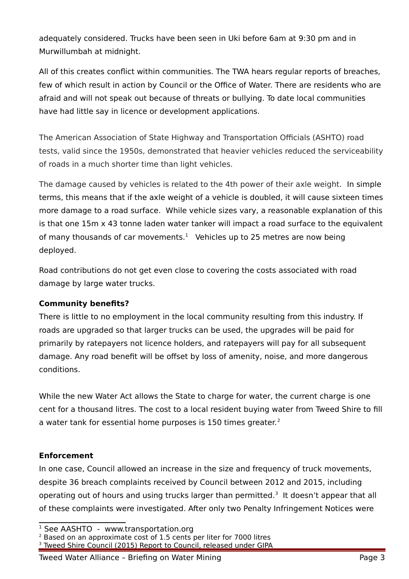adequately considered. Trucks have been seen in Uki before 6am at 9:30 pm and in Murwillumbah at midnight.

All of this creates conflict within communities. The TWA hears regular reports of breaches, few of which result in action by Council or the Office of Water. There are residents who are afraid and will not speak out because of threats or bullying. To date local communities have had little say in licence or development applications.

The American Association of State Highway and Transportation Officials (ASHTO) road tests, valid since the 1950s, demonstrated that heavier vehicles reduced the serviceability of roads in a much shorter time than light vehicles.

The damage caused by vehicles is related to the 4th power of their axle weight. In simple terms, this means that if the axle weight of a vehicle is doubled, it will cause sixteen times more damage to a road surface. While vehicle sizes vary, a reasonable explanation of this is that one 15m x 43 tonne laden water tanker will impact a road surface to the equivalent of many thousands of car movements. $<sup>1</sup>$  $<sup>1</sup>$  $<sup>1</sup>$  Vehicles up to 25 metres are now being</sup> deployed.

Road contributions do not get even close to covering the costs associated with road damage by large water trucks.

## **Community benefits?**

There is little to no employment in the local community resulting from this industry. If roads are upgraded so that larger trucks can be used, the upgrades will be paid for primarily by ratepayers not licence holders, and ratepayers will pay for all subsequent damage. Any road benefit will be offset by loss of amenity, noise, and more dangerous conditions.

While the new Water Act allows the State to charge for water, the current charge is one cent for a thousand litres. The cost to a local resident buying water from Tweed Shire to fill a water tank for essential home purposes is 150 times greater.<sup>[2](#page-2-1)</sup>

# **Enforcement**

In one case, Council allowed an increase in the size and frequency of truck movements, despite 36 breach complaints received by Council between 2012 and 2015, including operating out of hours and using trucks larger than permitted.<sup>[3](#page-2-2)</sup> It doesn't appear that all of these complaints were investigated. After only two Penalty Infringement Notices were

<span id="page-2-1"></span> $2$  Based on an approximate cost of 1.5 cents per liter for 7000 litres

<span id="page-2-0"></span> $1$  See AASHTO - [www.transportation.org](http://www.transportation.org/)

<span id="page-2-2"></span><sup>&</sup>lt;sup>3</sup> Tweed Shire Council (2015) Report to Council, released under GIPA

Tweed Water Alliance - Briefing on Water Mining National Communication of Page 3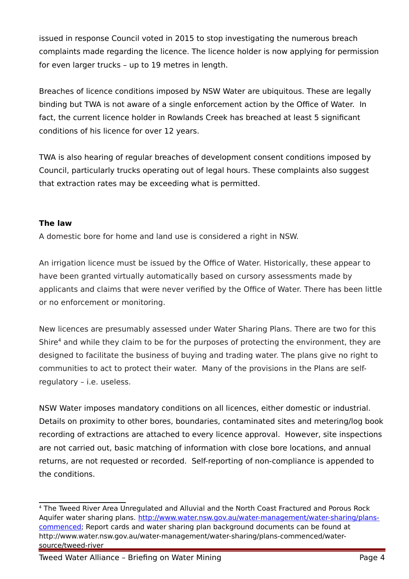issued in response Council voted in 2015 to stop investigating the numerous breach complaints made regarding the licence. The licence holder is now applying for permission for even larger trucks – up to 19 metres in length.

Breaches of licence conditions imposed by NSW Water are ubiquitous. These are legally binding but TWA is not aware of a single enforcement action by the Office of Water. In fact, the current licence holder in Rowlands Creek has breached at least 5 significant conditions of his licence for over 12 years.

TWA is also hearing of regular breaches of development consent conditions imposed by Council, particularly trucks operating out of legal hours. These complaints also suggest that extraction rates may be exceeding what is permitted.

## **The law**

A domestic bore for home and land use is considered a right in NSW.

An irrigation licence must be issued by the Office of Water. Historically, these appear to have been granted virtually automatically based on cursory assessments made by applicants and claims that were never verified by the Office of Water. There has been little or no enforcement or monitoring.

New licences are presumably assessed under Water Sharing Plans. There are two for this Shire<sup>[4](#page-3-0)</sup> and while they claim to be for the purposes of protecting the environment, they are designed to facilitate the business of buying and trading water. The plans give no right to communities to act to protect their water. Many of the provisions in the Plans are selfregulatory – i.e. useless.

NSW Water imposes mandatory conditions on all licences, either domestic or industrial. Details on proximity to other bores, boundaries, contaminated sites and metering/log book recording of extractions are attached to every licence approval. However, site inspections are not carried out, basic matching of information with close bore locations, and annual returns, are not requested or recorded. Self-reporting of non-compliance is appended to the conditions.

<span id="page-3-0"></span><sup>4</sup> The Tweed River Area Unregulated and Alluvial and the North Coast Fractured and Porous Rock Aquifer water sharing plans. [http://www.water.nsw.gov.au/water-management/water-sharing/plans](http://www.water.nsw.gov.au/water-management/water-sharing/plans-commenced)[commenced;](http://www.water.nsw.gov.au/water-management/water-sharing/plans-commenced) Report cards and water sharing plan background documents can be found at http://www.water.nsw.gov.au/water-management/water-sharing/plans-commenced/watersource/tweed-river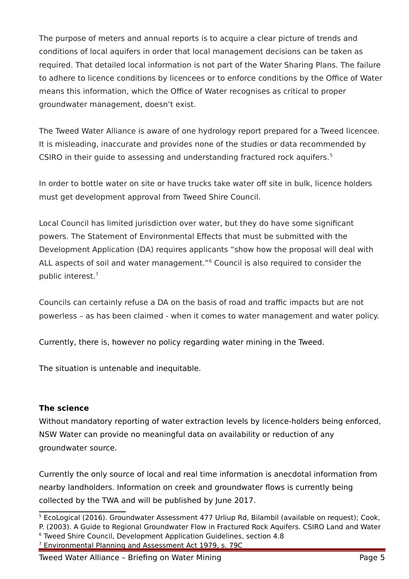The purpose of meters and annual reports is to acquire a clear picture of trends and conditions of local aquifers in order that local management decisions can be taken as required. That detailed local information is not part of the Water Sharing Plans. The failure to adhere to licence conditions by licencees or to enforce conditions by the Office of Water means this information, which the Office of Water recognises as critical to proper groundwater management, doesn't exist.

The Tweed Water Alliance is aware of one hydrology report prepared for a Tweed licencee. It is misleading, inaccurate and provides none of the studies or data recommended by CSIRO in their guide to assessing and understanding fractured rock aquifers.<sup>[5](#page-4-0)</sup>

In order to bottle water on site or have trucks take water off site in bulk, licence holders must get development approval from Tweed Shire Council.

Local Council has limited jurisdiction over water, but they do have some significant powers. The Statement of Environmental Effects that must be submitted with the Development Application (DA) requires applicants "show how the proposal will deal with ALL aspects of soil and water management."<sup>[6](#page-4-1)</sup> Council is also required to consider the public interest.[7](#page-4-2)

Councils can certainly refuse a DA on the basis of road and traffic impacts but are not powerless – as has been claimed - when it comes to water management and water policy.

Currently, there is, however no policy regarding water mining in the Tweed.

The situation is untenable and inequitable.

## **The science**

Without mandatory reporting of water extraction levels by licence-holders being enforced, NSW Water can provide no meaningful data on availability or reduction of any groundwater source.

Currently the only source of local and real time information is anecdotal information from nearby landholders. Information on creek and groundwater flows is currently being collected by the TWA and will be published by June 2017.

<span id="page-4-0"></span><sup>5</sup> EcoLogical (2016). Groundwater Assessment 477 Urliup Rd, Bilambil (available on request); Cook, P. (2003). A Guide to Regional Groundwater Flow in Fractured Rock Aquifers. CSIRO Land and Water

<span id="page-4-1"></span><sup>6</sup> Tweed Shire Council, Development Application Guidelines, section 4.8

<span id="page-4-2"></span><sup>7</sup> Environmental Planning and Assessment Act 1979, s. 79C

Tweed Water Alliance - Briefing on Water Mining Tweed The Controller Rage 5